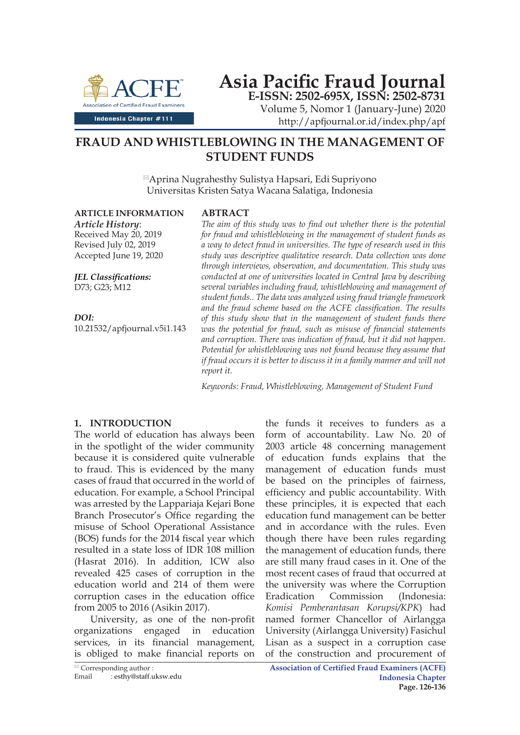

# **Asia Pacific Fraud Journal E-ISSN: 2502-695X, ISSN: 2502-8731**

Volume 5, Nomor 1 (January-June) 2020 http://apfjournal.or.id/index.php/apf

## **FRAUD AND WHISTLEBLOWING IN THE MANAGEMENT OF STUDENT FUNDS**

Aprina Nugrahesthy Sulistya Hapsari, Edi Supriyono Universitas Kristen Satya Wacana Salatiga, Indonesia

**ARTICLE INFORMATION**

*Article History*: Received May 20, 2019 Revised July 02, 2019 Accepted June 19, 2020

*JEL Classifications:* D73; G23; M12

*DOI:* 10.21532/apfjournal.v5i1.143

## **ABTRACT**

*The aim of this study was to find out whether there is the potential for fraud and whistleblowing in the management of student funds as a way to detect fraud in universities. The type of research used in this study was descriptive qualitative research. Data collection was done through interviews, observation, and documentation. This study was conducted at one of universities located in Central Java by describing several variables including fraud, whistleblowing and management of student funds.. The data was analyzed using fraud triangle framework and the fraud scheme based on the ACFE classification. The results of this study show that in the management of student funds there was the potential for fraud, such as misuse of financial statements and corruption. There was indication of fraud, but it did not happen. Potential for whistleblowing was not found because they assume that if fraud occurs it is better to discuss it in a family manner and will not report it.*

*Keywords: Fraud, Whistleblowing, Management of Student Fund*

## **1. INTRODUCTION**

The world of education has always been in the spotlight of the wider community because it is considered quite vulnerable to fraud. This is evidenced by the many cases of fraud that occurred in the world of education. For example, a School Principal was arrested by the Lappariaja Kejari Bone Branch Prosecutor's Office regarding the misuse of School Operational Assistance (BOS) funds for the 2014 fiscal year which resulted in a state loss of IDR 108 million (Hasrat 2016). In addition, ICW also revealed 425 cases of corruption in the education world and 214 of them were corruption cases in the education office from 2005 to 2016 (Asikin 2017).

University, as one of the non-profit organizations engaged in education services, in its financial management, is obliged to make financial reports on

form of accountability. Law No. 20 of 2003 article 48 concerning management of education funds explains that the management of education funds must be based on the principles of fairness, efficiency and public accountability. With these principles, it is expected that each education fund management can be better and in accordance with the rules. Even though there have been rules regarding the management of education funds, there are still many fraud cases in it. One of the most recent cases of fraud that occurred at the university was where the Corruption Eradication Commission (Indonesia: *Komisi Pemberantasan Korupsi/KPK*) had named former Chancellor of Airlangga University (Airlangga University) Fasichul Lisan as a suspect in a corruption case of the construction and procurement of

the funds it receives to funders as a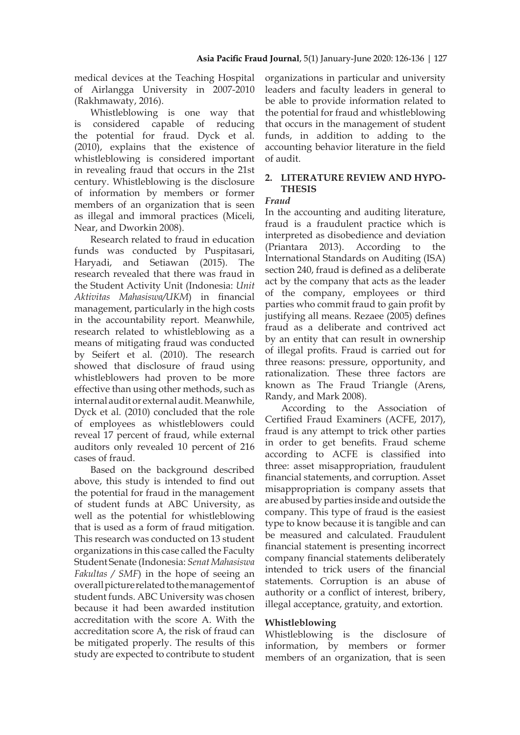medical devices at the Teaching Hospital of Airlangga University in 2007-2010 (Rakhmawaty, 2016).

Whistleblowing is one way that is considered capable of reducing the potential for fraud. Dyck et al. (2010), explains that the existence of whistleblowing is considered important in revealing fraud that occurs in the 21st century. Whistleblowing is the disclosure of information by members or former members of an organization that is seen as illegal and immoral practices (Miceli, Near, and Dworkin 2008).

Research related to fraud in education funds was conducted by Puspitasari, Haryadi, and Setiawan (2015). The research revealed that there was fraud in the Student Activity Unit (Indonesia: *Unit Aktivitas Mahasiswa/UKM*) in financial management, particularly in the high costs in the accountability report. Meanwhile, research related to whistleblowing as a means of mitigating fraud was conducted by Seifert et al. (2010). The research showed that disclosure of fraud using whistleblowers had proven to be more effective than using other methods, such as internal audit or external audit. Meanwhile, Dyck et al. (2010) concluded that the role of employees as whistleblowers could reveal 17 percent of fraud, while external auditors only revealed 10 percent of 216 cases of fraud.

Based on the background described above, this study is intended to find out the potential for fraud in the management of student funds at ABC University, as well as the potential for whistleblowing that is used as a form of fraud mitigation. This research was conducted on 13 student organizations in this case called the Faculty Student Senate (Indonesia: *Senat Mahasiswa Fakultas / SMF*) in the hope of seeing an overall picture related to the management of student funds. ABC University was chosen because it had been awarded institution accreditation with the score A. With the accreditation score A, the risk of fraud can be mitigated properly. The results of this study are expected to contribute to student organizations in particular and university leaders and faculty leaders in general to be able to provide information related to the potential for fraud and whistleblowing that occurs in the management of student funds, in addition to adding to the accounting behavior literature in the field of audit.

## **2. LITERATURE REVIEW AND HYPO-THESIS**

## *Fraud*

In the accounting and auditing literature, fraud is a fraudulent practice which is interpreted as disobedience and deviation (Priantara 2013). According to the International Standards on Auditing (ISA) section 240, fraud is defined as a deliberate act by the company that acts as the leader of the company, employees or third parties who commit fraud to gain profit by justifying all means. Rezaee (2005) defines fraud as a deliberate and contrived act by an entity that can result in ownership of illegal profits. Fraud is carried out for three reasons: pressure, opportunity, and rationalization. These three factors are known as The Fraud Triangle (Arens, Randy, and Mark 2008).

According to the Association of Certified Fraud Examiners (ACFE, 2017), fraud is any attempt to trick other parties in order to get benefits. Fraud scheme according to ACFE is classified into three: asset misappropriation, fraudulent financial statements, and corruption. Asset misappropriation is company assets that are abused by parties inside and outside the company. This type of fraud is the easiest type to know because it is tangible and can be measured and calculated. Fraudulent financial statement is presenting incorrect company financial statements deliberately intended to trick users of the financial statements. Corruption is an abuse of authority or a conflict of interest, bribery, illegal acceptance, gratuity, and extortion.

## **Whistleblowing**

Whistleblowing is the disclosure of information, by members or former members of an organization, that is seen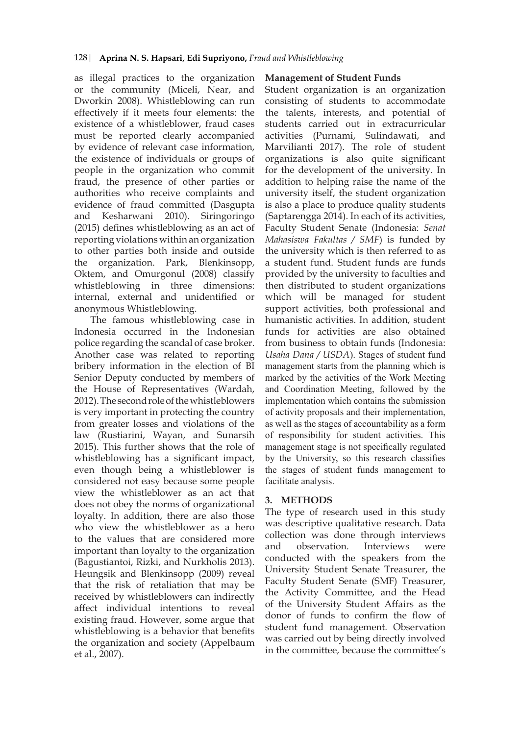as illegal practices to the organization or the community (Miceli, Near, and Dworkin 2008). Whistleblowing can run effectively if it meets four elements: the existence of a whistleblower, fraud cases must be reported clearly accompanied by evidence of relevant case information, the existence of individuals or groups of people in the organization who commit fraud, the presence of other parties or authorities who receive complaints and evidence of fraud committed (Dasgupta and Kesharwani 2010). Siringoringo (2015) defines whistleblowing as an act of reporting violations within an organization to other parties both inside and outside the organization. Park, Blenkinsopp, Oktem, and Omurgonul (2008) classify whistleblowing in three dimensions: internal, external and unidentified or anonymous Whistleblowing.

The famous whistleblowing case in Indonesia occurred in the Indonesian police regarding the scandal of case broker. Another case was related to reporting bribery information in the election of BI Senior Deputy conducted by members of the House of Representatives (Wardah, 2012). The second role of the whistleblowers is very important in protecting the country from greater losses and violations of the law (Rustiarini, Wayan, and Sunarsih 2015). This further shows that the role of whistleblowing has a significant impact, even though being a whistleblower is considered not easy because some people view the whistleblower as an act that does not obey the norms of organizational loyalty. In addition, there are also those who view the whistleblower as a hero to the values that are considered more important than loyalty to the organization (Bagustiantoi, Rizki, and Nurkholis 2013). Heungsik and Blenkinsopp (2009) reveal that the risk of retaliation that may be received by whistleblowers can indirectly affect individual intentions to reveal existing fraud. However, some argue that whistleblowing is a behavior that benefits the organization and society (Appelbaum et al., 2007).

## **Management of Student Funds**

Student organization is an organization consisting of students to accommodate the talents, interests, and potential of students carried out in extracurricular activities (Purnami, Sulindawati, and Marvilianti 2017). The role of student organizations is also quite significant for the development of the university. In addition to helping raise the name of the university itself, the student organization is also a place to produce quality students (Saptarengga 2014). In each of its activities, Faculty Student Senate (Indonesia: *Senat Mahasiswa Fakultas / SMF*) is funded by the university which is then referred to as a student fund. Student funds are funds provided by the university to faculties and then distributed to student organizations which will be managed for student support activities, both professional and humanistic activities. In addition, student funds for activities are also obtained from business to obtain funds (Indonesia: *Usaha Dana / USDA*). Stages of student fund management starts from the planning which is marked by the activities of the Work Meeting and Coordination Meeting, followed by the implementation which contains the submission of activity proposals and their implementation, as well as the stages of accountability as a form of responsibility for student activities. This management stage is not specifically regulated by the University, so this research classifies the stages of student funds management to facilitate analysis.

## **3. METHODS**

The type of research used in this study was descriptive qualitative research. Data collection was done through interviews and observation. Interviews were conducted with the speakers from the University Student Senate Treasurer, the Faculty Student Senate (SMF) Treasurer, the Activity Committee, and the Head of the University Student Affairs as the donor of funds to confirm the flow of student fund management. Observation was carried out by being directly involved in the committee, because the committee's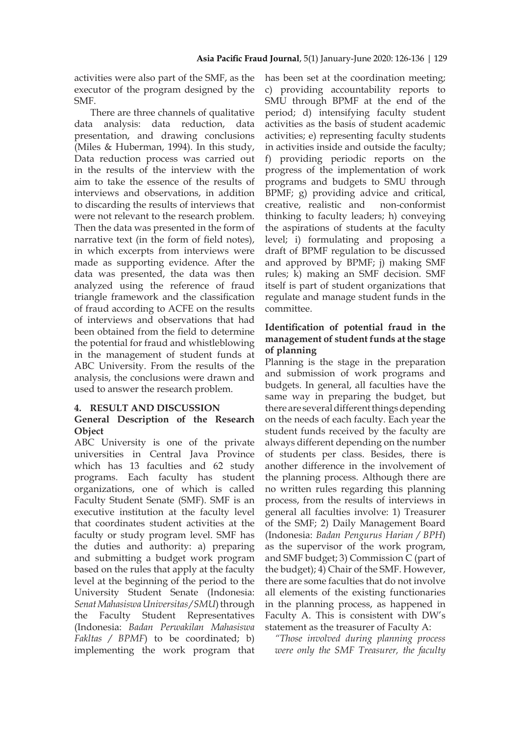activities were also part of the SMF, as the executor of the program designed by the SMF.

There are three channels of qualitative data analysis: data reduction, data presentation, and drawing conclusions (Miles & Huberman, 1994). In this study, Data reduction process was carried out in the results of the interview with the aim to take the essence of the results of interviews and observations, in addition to discarding the results of interviews that were not relevant to the research problem. Then the data was presented in the form of narrative text (in the form of field notes), in which excerpts from interviews were made as supporting evidence. After the data was presented, the data was then analyzed using the reference of fraud triangle framework and the classification of fraud according to ACFE on the results of interviews and observations that had been obtained from the field to determine the potential for fraud and whistleblowing in the management of student funds at ABC University. From the results of the analysis, the conclusions were drawn and used to answer the research problem.

#### **4. RESULT AND DISCUSSION**

## **General Description of the Research Object**

ABC University is one of the private universities in Central Java Province which has 13 faculties and 62 study programs. Each faculty has student organizations, one of which is called Faculty Student Senate (SMF). SMF is an executive institution at the faculty level that coordinates student activities at the faculty or study program level. SMF has the duties and authority: a) preparing and submitting a budget work program based on the rules that apply at the faculty level at the beginning of the period to the University Student Senate (Indonesia: *Senat Mahasiswa Universitas / SMU*) through the Faculty Student Representatives (Indonesia: *Badan Perwakilan Mahasiswa Fakltas / BPMF*) to be coordinated; b) implementing the work program that

has been set at the coordination meeting; c) providing accountability reports to SMU through BPMF at the end of the period; d) intensifying faculty student activities as the basis of student academic activities; e) representing faculty students in activities inside and outside the faculty; f) providing periodic reports on the progress of the implementation of work programs and budgets to SMU through BPMF; g) providing advice and critical, creative, realistic and non-conformist thinking to faculty leaders; h) conveying the aspirations of students at the faculty level; i) formulating and proposing a draft of BPMF regulation to be discussed and approved by BPMF; j) making SMF rules; k) making an SMF decision. SMF itself is part of student organizations that regulate and manage student funds in the committee.

## **Identification of potential fraud in the management of student funds at the stage of planning**

Planning is the stage in the preparation and submission of work programs and budgets. In general, all faculties have the same way in preparing the budget, but there are several different things depending on the needs of each faculty. Each year the student funds received by the faculty are always different depending on the number of students per class. Besides, there is another difference in the involvement of the planning process. Although there are no written rules regarding this planning process, from the results of interviews in general all faculties involve: 1) Treasurer of the SMF; 2) Daily Management Board (Indonesia: *Badan Pengurus Harian / BPH*) as the supervisor of the work program, and SMF budget; 3) Commission C (part of the budget); 4) Chair of the SMF. However, there are some faculties that do not involve all elements of the existing functionaries in the planning process, as happened in Faculty A. This is consistent with DW's statement as the treasurer of Faculty A:

*"Those involved during planning process were only the SMF Treasurer, the faculty*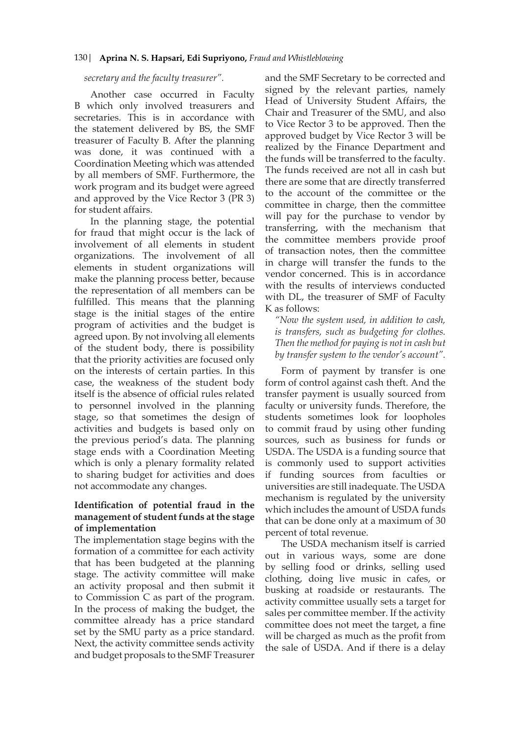#### *secretary and the faculty treasurer".*

Another case occurred in Faculty B which only involved treasurers and secretaries. This is in accordance with the statement delivered by BS, the SMF treasurer of Faculty B. After the planning was done, it was continued with a Coordination Meeting which was attended by all members of SMF. Furthermore, the work program and its budget were agreed and approved by the Vice Rector 3 (PR 3) for student affairs.

In the planning stage, the potential for fraud that might occur is the lack of involvement of all elements in student organizations. The involvement of all elements in student organizations will make the planning process better, because the representation of all members can be fulfilled. This means that the planning stage is the initial stages of the entire program of activities and the budget is agreed upon. By not involving all elements of the student body, there is possibility that the priority activities are focused only on the interests of certain parties. In this case, the weakness of the student body itself is the absence of official rules related to personnel involved in the planning stage, so that sometimes the design of activities and budgets is based only on the previous period's data. The planning stage ends with a Coordination Meeting which is only a plenary formality related to sharing budget for activities and does not accommodate any changes.

## **Identification of potential fraud in the management of student funds at the stage of implementation**

The implementation stage begins with the formation of a committee for each activity that has been budgeted at the planning stage. The activity committee will make an activity proposal and then submit it to Commission C as part of the program. In the process of making the budget, the committee already has a price standard set by the SMU party as a price standard. Next, the activity committee sends activity and budget proposals to the SMF Treasurer

and the SMF Secretary to be corrected and signed by the relevant parties, namely Head of University Student Affairs, the Chair and Treasurer of the SMU, and also to Vice Rector 3 to be approved. Then the approved budget by Vice Rector 3 will be realized by the Finance Department and the funds will be transferred to the faculty. The funds received are not all in cash but there are some that are directly transferred to the account of the committee or the committee in charge, then the committee will pay for the purchase to vendor by transferring, with the mechanism that the committee members provide proof of transaction notes, then the committee in charge will transfer the funds to the vendor concerned. This is in accordance with the results of interviews conducted with DL, the treasurer of SMF of Faculty K as follows:

*"Now the system used, in addition to cash, is transfers, such as budgeting for clothes. Then the method for paying is not in cash but by transfer system to the vendor's account".*

Form of payment by transfer is one form of control against cash theft. And the transfer payment is usually sourced from faculty or university funds. Therefore, the students sometimes look for loopholes to commit fraud by using other funding sources, such as business for funds or USDA. The USDA is a funding source that is commonly used to support activities if funding sources from faculties or universities are still inadequate. The USDA mechanism is regulated by the university which includes the amount of USDA funds that can be done only at a maximum of 30 percent of total revenue.

The USDA mechanism itself is carried out in various ways, some are done by selling food or drinks, selling used clothing, doing live music in cafes, or busking at roadside or restaurants. The activity committee usually sets a target for sales per committee member. If the activity committee does not meet the target, a fine will be charged as much as the profit from the sale of USDA. And if there is a delay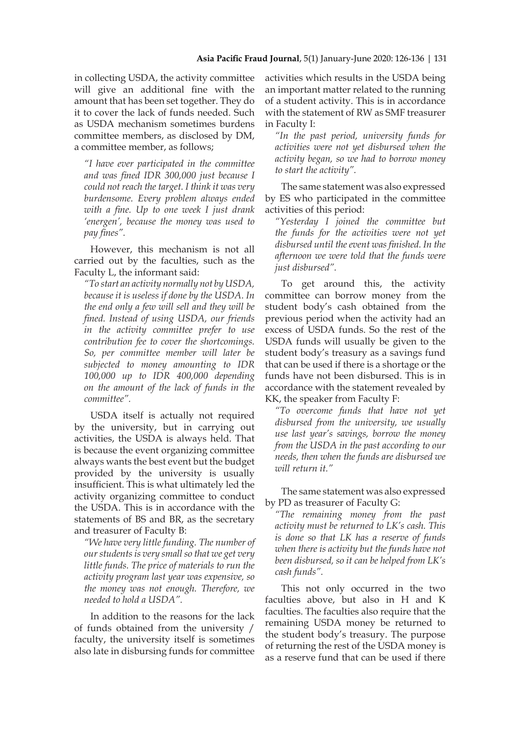in collecting USDA, the activity committee will give an additional fine with the amount that has been set together. They do it to cover the lack of funds needed. Such as USDA mechanism sometimes burdens committee members, as disclosed by DM, a committee member, as follows;

*"I have ever participated in the committee and was fined IDR 300,000 just because I could not reach the target. I think it was very burdensome. Every problem always ended with a fine. Up to one week I just drank 'energen', because the money was used to pay fines".*

However, this mechanism is not all carried out by the faculties, such as the Faculty L, the informant said:

*"To start an activity normally not by USDA, because it is useless if done by the USDA. In the end only a few will sell and they will be fined. Instead of using USDA, our friends in the activity committee prefer to use contribution fee to cover the shortcomings. So, per committee member will later be subjected to money amounting to IDR 100,000 up to IDR 400,000 depending on the amount of the lack of funds in the committee".*

USDA itself is actually not required by the university, but in carrying out activities, the USDA is always held. That is because the event organizing committee always wants the best event but the budget provided by the university is usually insufficient. This is what ultimately led the activity organizing committee to conduct the USDA. This is in accordance with the statements of BS and BR, as the secretary and treasurer of Faculty B:

*"We have very little funding. The number of our students is very small so that we get very little funds. The price of materials to run the activity program last year was expensive, so the money was not enough. Therefore, we needed to hold a USDA".*

In addition to the reasons for the lack of funds obtained from the university / faculty, the university itself is sometimes also late in disbursing funds for committee

activities which results in the USDA being an important matter related to the running of a student activity. This is in accordance with the statement of RW as SMF treasurer in Faculty I:

*"In the past period, university funds for activities were not yet disbursed when the activity began, so we had to borrow money to start the activity".*

The same statement was also expressed by ES who participated in the committee activities of this period:

*"Yesterday I joined the committee but the funds for the activities were not yet disbursed until the event was finished. In the afternoon we were told that the funds were just disbursed".*

To get around this, the activity committee can borrow money from the student body's cash obtained from the previous period when the activity had an excess of USDA funds. So the rest of the USDA funds will usually be given to the student body's treasury as a savings fund that can be used if there is a shortage or the funds have not been disbursed. This is in accordance with the statement revealed by KK, the speaker from Faculty F:

*"To overcome funds that have not yet disbursed from the university, we usually use last year's savings, borrow the money from the USDA in the past according to our needs, then when the funds are disbursed we will return it."*

The same statement was also expressed by PD as treasurer of Faculty G:

*"The remaining money from the past activity must be returned to LK's cash. This is done so that LK has a reserve of funds when there is activity but the funds have not been disbursed, so it can be helped from LK's cash funds".*

This not only occurred in the two faculties above, but also in H and K faculties. The faculties also require that the remaining USDA money be returned to the student body's treasury. The purpose of returning the rest of the USDA money is as a reserve fund that can be used if there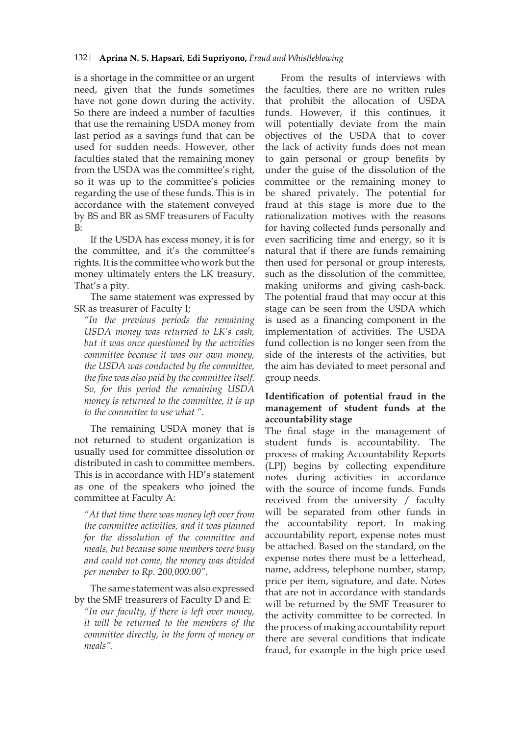is a shortage in the committee or an urgent need, given that the funds sometimes have not gone down during the activity. So there are indeed a number of faculties that use the remaining USDA money from last period as a savings fund that can be used for sudden needs. However, other faculties stated that the remaining money from the USDA was the committee's right, so it was up to the committee's policies regarding the use of these funds. This is in accordance with the statement conveyed by BS and BR as SMF treasurers of Faculty B:

If the USDA has excess money, it is for the committee, and it's the committee's rights. It is the committee who work but the money ultimately enters the LK treasury. That's a pity.

The same statement was expressed by SR as treasurer of Faculty I;

*"In the previous periods the remaining USDA money was returned to LK's cash, but it was once questioned by the activities committee because it was our own money, the USDA was conducted by the committee, the fine was also paid by the committee itself. So, for this period the remaining USDA money is returned to the committee, it is up to the committee to use what ".*

The remaining USDA money that is not returned to student organization is usually used for committee dissolution or distributed in cash to committee members. This is in accordance with HD's statement as one of the speakers who joined the committee at Faculty A:

*"At that time there was money left over from the committee activities, and it was planned for the dissolution of the committee and meals, but because some members were busy and could not come, the money was divided per member to Rp. 200,000.00".*

The same statement was also expressed by the SMF treasurers of Faculty D and E: *"In our faculty, if there is left over money, it will be returned to the members of the committee directly, in the form of money or meals".*

From the results of interviews with the faculties, there are no written rules that prohibit the allocation of USDA funds. However, if this continues, it will potentially deviate from the main objectives of the USDA that to cover the lack of activity funds does not mean to gain personal or group benefits by under the guise of the dissolution of the committee or the remaining money to be shared privately. The potential for fraud at this stage is more due to the rationalization motives with the reasons for having collected funds personally and even sacrificing time and energy, so it is natural that if there are funds remaining then used for personal or group interests, such as the dissolution of the committee, making uniforms and giving cash-back. The potential fraud that may occur at this stage can be seen from the USDA which is used as a financing component in the implementation of activities. The USDA fund collection is no longer seen from the side of the interests of the activities, but the aim has deviated to meet personal and group needs.

## **Identification of potential fraud in the management of student funds at the accountability stage**

The final stage in the management of student funds is accountability. The process of making Accountability Reports (LPJ) begins by collecting expenditure notes during activities in accordance with the source of income funds. Funds received from the university / faculty will be separated from other funds in the accountability report. In making accountability report, expense notes must be attached. Based on the standard, on the expense notes there must be a letterhead, name, address, telephone number, stamp, price per item, signature, and date. Notes that are not in accordance with standards will be returned by the SMF Treasurer to the activity committee to be corrected. In the process of making accountability report there are several conditions that indicate fraud, for example in the high price used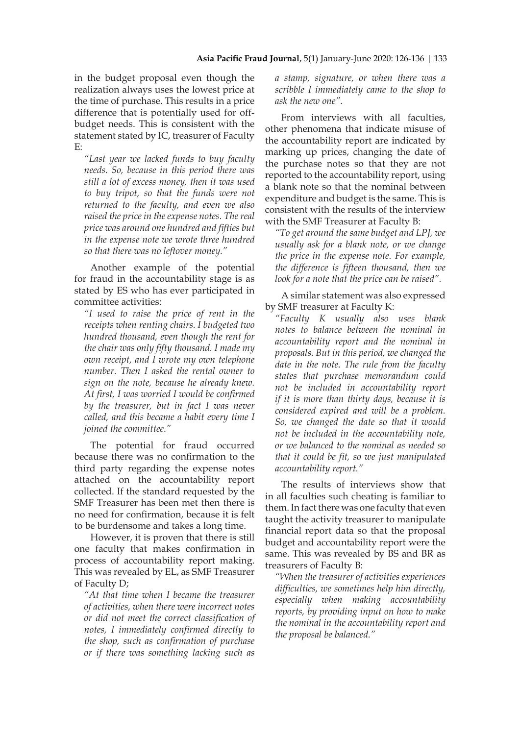in the budget proposal even though the realization always uses the lowest price at the time of purchase. This results in a price difference that is potentially used for offbudget needs. This is consistent with the statement stated by IC, treasurer of Faculty E:

*"Last year we lacked funds to buy faculty needs. So, because in this period there was still a lot of excess money, then it was used to buy tripot, so that the funds were not returned to the faculty, and even we also raised the price in the expense notes. The real price was around one hundred and fifties but in the expense note we wrote three hundred so that there was no leftover money."*

Another example of the potential for fraud in the accountability stage is as stated by ES who has ever participated in committee activities:

*"I used to raise the price of rent in the receipts when renting chairs. I budgeted two hundred thousand, even though the rent for the chair was only fifty thousand. I made my own receipt, and I wrote my own telephone number. Then I asked the rental owner to sign on the note, because he already knew. At first, I was worried I would be confirmed by the treasurer, but in fact I was never called, and this became a habit every time I joined the committee."*

The potential for fraud occurred because there was no confirmation to the third party regarding the expense notes attached on the accountability report collected. If the standard requested by the SMF Treasurer has been met then there is no need for confirmation, because it is felt to be burdensome and takes a long time.

However, it is proven that there is still one faculty that makes confirmation in process of accountability report making. This was revealed by EL, as SMF Treasurer of Faculty D;

*"At that time when I became the treasurer of activities, when there were incorrect notes or did not meet the correct classification of notes, I immediately confirmed directly to the shop, such as confirmation of purchase or if there was something lacking such as* 

*a stamp, signature, or when there was a scribble I immediately came to the shop to ask the new one".*

From interviews with all faculties, other phenomena that indicate misuse of the accountability report are indicated by marking up prices, changing the date of the purchase notes so that they are not reported to the accountability report, using a blank note so that the nominal between expenditure and budget is the same. This is consistent with the results of the interview with the SMF Treasurer at Faculty B:

*"To get around the same budget and LPJ, we usually ask for a blank note, or we change the price in the expense note. For example, the difference is fifteen thousand, then we look for a note that the price can be raised".*

A similar statement was also expressed by SMF treasurer at Faculty K:

*"Faculty K usually also uses blank notes to balance between the nominal in accountability report and the nominal in proposals. But in this period, we changed the date in the note. The rule from the faculty states that purchase memorandum could not be included in accountability report if it is more than thirty days, because it is considered expired and will be a problem. So, we changed the date so that it would not be included in the accountability note, or we balanced to the nominal as needed so that it could be fit, so we just manipulated accountability report."*

The results of interviews show that in all faculties such cheating is familiar to them. In fact there was one faculty that even taught the activity treasurer to manipulate financial report data so that the proposal budget and accountability report were the same. This was revealed by BS and BR as treasurers of Faculty B:

*"When the treasurer of activities experiences difficulties, we sometimes help him directly, especially when making accountability reports, by providing input on how to make the nominal in the accountability report and the proposal be balanced."*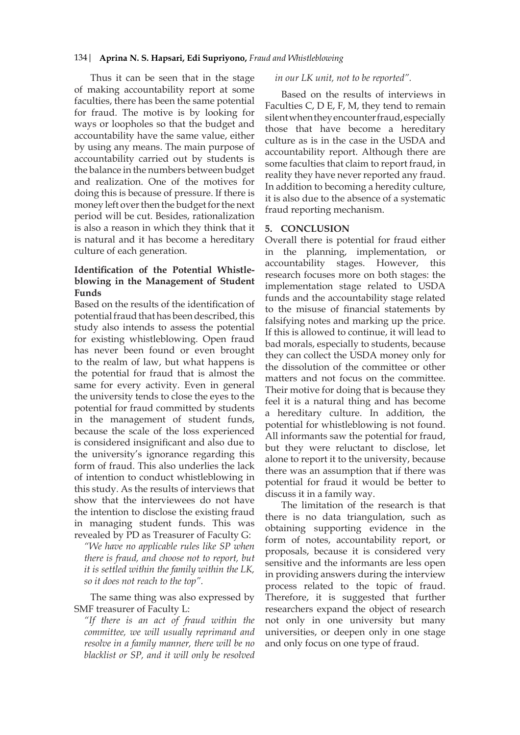Thus it can be seen that in the stage of making accountability report at some faculties, there has been the same potential for fraud. The motive is by looking for ways or loopholes so that the budget and accountability have the same value, either by using any means. The main purpose of accountability carried out by students is the balance in the numbers between budget and realization. One of the motives for doing this is because of pressure. If there is money left over then the budget for the next period will be cut. Besides, rationalization is also a reason in which they think that it is natural and it has become a hereditary culture of each generation.

## **Identification of the Potential Whistleblowing in the Management of Student Funds**

Based on the results of the identification of potential fraud that has been described, this study also intends to assess the potential for existing whistleblowing. Open fraud has never been found or even brought to the realm of law, but what happens is the potential for fraud that is almost the same for every activity. Even in general the university tends to close the eyes to the potential for fraud committed by students in the management of student funds, because the scale of the loss experienced is considered insignificant and also due to the university's ignorance regarding this form of fraud. This also underlies the lack of intention to conduct whistleblowing in this study. As the results of interviews that show that the interviewees do not have the intention to disclose the existing fraud in managing student funds. This was revealed by PD as Treasurer of Faculty G:

*"We have no applicable rules like SP when there is fraud, and choose not to report, but it is settled within the family within the LK, so it does not reach to the top".*

The same thing was also expressed by SMF treasurer of Faculty L:

*"If there is an act of fraud within the committee, we will usually reprimand and resolve in a family manner, there will be no blacklist or SP, and it will only be resolved* 

#### *in our LK unit, not to be reported".*

Based on the results of interviews in Faculties C, D E, F, M, they tend to remain silent when they encounter fraud, especially those that have become a hereditary culture as is in the case in the USDA and accountability report. Although there are some faculties that claim to report fraud, in reality they have never reported any fraud. In addition to becoming a heredity culture, it is also due to the absence of a systematic fraud reporting mechanism.

### **5. CONCLUSION**

Overall there is potential for fraud either in the planning, implementation, or accountability stages. However, this research focuses more on both stages: the implementation stage related to USDA funds and the accountability stage related to the misuse of financial statements by falsifying notes and marking up the price. If this is allowed to continue, it will lead to bad morals, especially to students, because they can collect the USDA money only for the dissolution of the committee or other matters and not focus on the committee. Their motive for doing that is because they feel it is a natural thing and has become a hereditary culture. In addition, the potential for whistleblowing is not found. All informants saw the potential for fraud, but they were reluctant to disclose, let alone to report it to the university, because there was an assumption that if there was potential for fraud it would be better to discuss it in a family way.

The limitation of the research is that there is no data triangulation, such as obtaining supporting evidence in the form of notes, accountability report, or proposals, because it is considered very sensitive and the informants are less open in providing answers during the interview process related to the topic of fraud. Therefore, it is suggested that further researchers expand the object of research not only in one university but many universities, or deepen only in one stage and only focus on one type of fraud.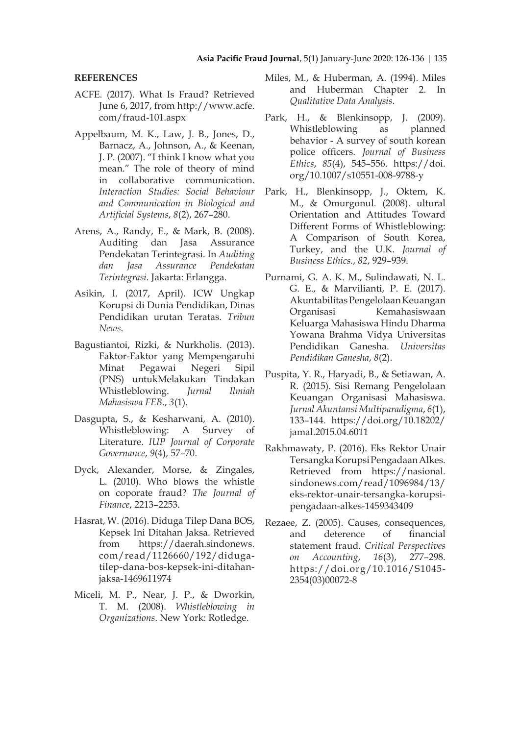#### **REFERENCES**

- ACFE. (2017). What Is Fraud? Retrieved June 6, 2017, from http://www.acfe. com/fraud-101.aspx
- Appelbaum, M. K., Law, J. B., Jones, D., Barnacz, A., Johnson, A., & Keenan, J. P. (2007). "I think I know what you mean." The role of theory of mind in collaborative communication. *Interaction Studies: Social Behaviour and Communication in Biological and Artificial Systems*, *8*(2), 267–280.
- Arens, A., Randy, E., & Mark, B. (2008). Auditing dan Jasa Assurance Pendekatan Terintegrasi. In *Auditing dan Jasa Assurance Pendekatan Terintegrasi.* Jakarta: Erlangga.
- Asikin, I. (2017, April). ICW Ungkap Korupsi di Dunia Pendidikan, Dinas Pendidikan urutan Teratas. *Tribun News*.
- Bagustiantoi, Rizki, & Nurkholis. (2013). Faktor-Faktor yang Mempengaruhi Minat Pegawai Negeri Sipil (PNS) untukMelakukan Tindakan Whistleblowing. *Jurnal Ilmiah Mahasiswa FEB.*, *3*(1).
- Dasgupta, S., & Kesharwani, A. (2010). Whistleblowing: A Survey of Literature. *IUP Journal of Corporate Governance*, *9*(4), 57–70.
- Dyck, Alexander, Morse, & Zingales, L. (2010). Who blows the whistle on coporate fraud? *The Journal of Finance*, 2213–2253.
- Hasrat, W. (2016). Diduga Tilep Dana BOS, Kepsek Ini Ditahan Jaksa. Retrieved from https://daerah.sindonews. com/read/1126660/192/didugatilep-dana-bos-kepsek-ini-ditahanjaksa-1469611974
- Miceli, M. P., Near, J. P., & Dworkin, T. M. (2008). *Whistleblowing in Organizations*. New York: Rotledge.
- Miles, M., & Huberman, A. (1994). Miles and Huberman Chapter 2. In *Qualitative Data Analysis*.
- Park, H., & Blenkinsopp, J. (2009). Whistleblowing as planned behavior - A survey of south korean police officers. *Journal of Business Ethics*, *85*(4), 545–556. https://doi. org/10.1007/s10551-008-9788-y
- Park, H., Blenkinsopp, J., Oktem, K. M., & Omurgonul. (2008). ultural Orientation and Attitudes Toward Different Forms of Whistleblowing: A Comparison of South Korea, Turkey, and the U.K. *Journal of Business Ethics.*, *82*, 929–939.
- Purnami, G. A. K. M., Sulindawati, N. L. G. E., & Marvilianti, P. E. (2017). Akuntabilitas Pengelolaan Keuangan Organisasi Kemahasiswaan Keluarga Mahasiswa Hindu Dharma Yowana Brahma Vidya Universitas Pendidikan Ganesha. *Universitas Pendidikan Ganesha*, *8*(2).
- Puspita, Y. R., Haryadi, B., & Setiawan, A. R. (2015). Sisi Remang Pengelolaan Keuangan Organisasi Mahasiswa. *Jurnal Akuntansi Multiparadigma*, *6*(1), 133–144. https://doi.org/10.18202/ jamal.2015.04.6011
- Rakhmawaty, P. (2016). Eks Rektor Unair Tersangka Korupsi Pengadaan Alkes. Retrieved from https://nasional. sindonews.com/read/1096984/13/ eks-rektor-unair-tersangka-korupsipengadaan-alkes-1459343409
- Rezaee, Z. (2005). Causes, consequences, and deterence of financial statement fraud. *Critical Perspectives on Accounting*, *16*(3), 277–298. https://doi.org/10.1016/S1045- 2354(03)00072-8